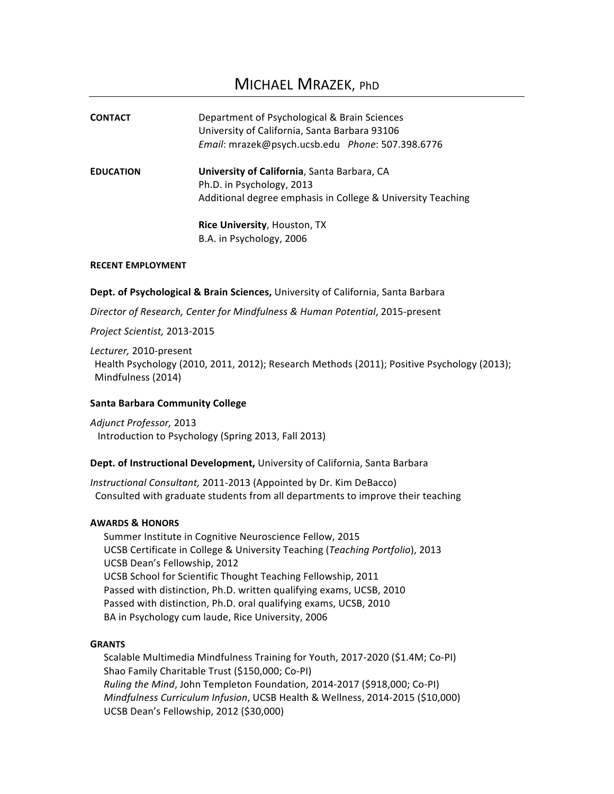| Department of Psychological & Brain Sciences<br>University of California, Santa Barbara 93106<br>Email: mrazek@psych.ucsb.edu Phone: 507.398.6776 |
|---------------------------------------------------------------------------------------------------------------------------------------------------|
| University of California, Santa Barbara, CA<br>Ph.D. in Psychology, 2013<br>Additional degree emphasis in College & University Teaching           |
| <b>Rice University, Houston, TX</b><br>B.A. in Psychology, 2006                                                                                   |
|                                                                                                                                                   |

# **RECENT EMPLOYMENT**

Dept. of Psychological & Brain Sciences, University of California, Santa Barbara

*Director of Research, Center for Mindfulness & Human Potential*, 2015-present

*Project Scientist,* 2013-2015

*Lecturer,* 2010-present Health Psychology (2010, 2011, 2012); Research Methods (2011); Positive Psychology (2013); Mindfulness (2014)

# **Santa Barbara Community College**

*Adjunct Professor,* 2013 Introduction to Psychology (Spring 2013, Fall 2013)

# Dept. of Instructional Development, University of California, Santa Barbara

*Instructional Consultant,* 2011-2013 (Appointed by Dr. Kim DeBacco) Consulted with graduate students from all departments to improve their teaching

### **AWARDS & HONORS**

Summer Institute in Cognitive Neuroscience Fellow, 2015 UCSB Certificate in College & University Teaching (*Teaching Portfolio*), 2013 UCSB Dean's Fellowship, 2012 UCSB School for Scientific Thought Teaching Fellowship, 2011 Passed with distinction, Ph.D. written qualifying exams, UCSB, 2010 Passed with distinction, Ph.D. oral qualifying exams, UCSB, 2010 BA in Psychology cum laude, Rice University, 2006

# **GRANTS**

Scalable Multimedia Mindfulness Training for Youth, 2017-2020 (\$1.4M; Co-PI) Shao Family Charitable Trust (\$150,000; Co-PI) *Ruling the Mind, John Templeton Foundation, 2014-2017* (\$918,000; Co-PI) *Mindfulness Curriculum Infusion*, UCSB Health & Wellness, 2014-2015 (\$10,000) UCSB Dean's Fellowship, 2012 (\$30,000)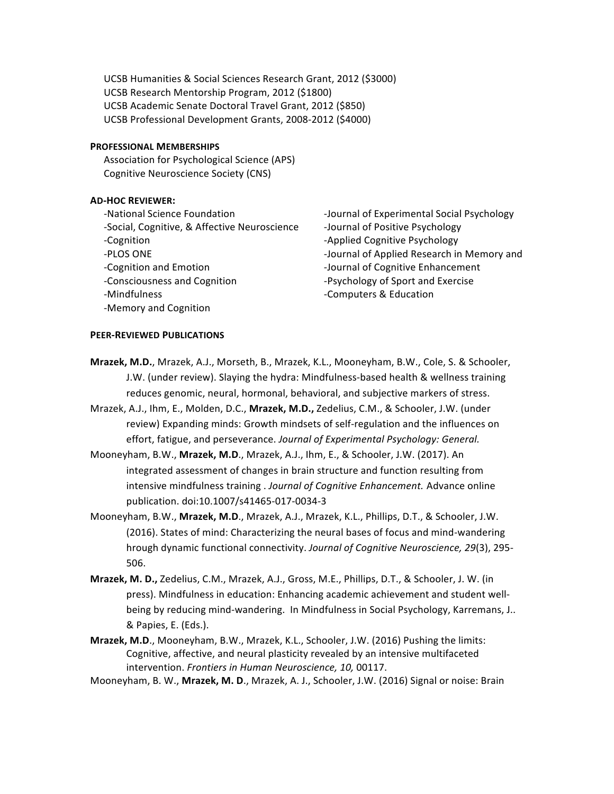UCSB Humanities & Social Sciences Research Grant, 2012 (\$3000) UCSB Research Mentorship Program, 2012 (\$1800) UCSB Academic Senate Doctoral Travel Grant, 2012 (\$850) UCSB Professional Development Grants, 2008-2012 (\$4000)

### **PROFESSIONAL MEMBERSHIPS**

Association for Psychological Science (APS) Cognitive Neuroscience Society (CNS)

## **AD-HOC REVIEWER:**

-National Science Foundation -Social, Cognitive, & Affective Neuroscience -Cognition -PLOS ONE -Cognition and Emotion -Consciousness and Cognition -Mindfulness -Memory and Cognition

-Journal of Experimental Social Psychology -Journal of Positive Psychology -Applied Cognitive Psychology -Journal of Applied Research in Memory and -Journal of Cognitive Enhancement -Psychology of Sport and Exercise -Computers & Education

### **PEER-REVIEWED PUBLICATIONS**

- **Mrazek, M.D.**, Mrazek, A.J., Morseth, B., Mrazek, K.L., Mooneyham, B.W., Cole, S. & Schooler, J.W. (under review). Slaying the hydra: Mindfulness-based health & wellness training reduces genomic, neural, hormonal, behavioral, and subjective markers of stress.
- Mrazek, A.J., Ihm, E., Molden, D.C., Mrazek, M.D., Zedelius, C.M., & Schooler, J.W. (under review) Expanding minds: Growth mindsets of self-regulation and the influences on effort, fatigue, and perseverance. Journal of Experimental Psychology: General.
- Mooneyham, B.W., Mrazek, M.D., Mrazek, A.J., Ihm, E., & Schooler, J.W. (2017). An integrated assessment of changes in brain structure and function resulting from intensive mindfulness training . *Journal of Cognitive Enhancement*. Advance online publication. doi:10.1007/s41465-017-0034-3
- Mooneyham, B.W., Mrazek, M.D., Mrazek, A.J., Mrazek, K.L., Phillips, D.T., & Schooler, J.W. (2016). States of mind: Characterizing the neural bases of focus and mind-wandering hrough dynamic functional connectivity. *Journal of Cognitive Neuroscience, 29*(3), 295-506.
- **Mrazek, M. D., Zedelius, C.M., Mrazek, A.J., Gross, M.E., Phillips, D.T., & Schooler, J. W. (in** press). Mindfulness in education: Enhancing academic achievement and student wellbeing by reducing mind-wandering. In Mindfulness in Social Psychology, Karremans, J.. & Papies, E. (Eds.).
- **Mrazek, M.D.**, Mooneyham, B.W., Mrazek, K.L., Schooler, J.W. (2016) Pushing the limits: Cognitive, affective, and neural plasticity revealed by an intensive multifaceted intervention. Frontiers in Human Neuroscience, 10, 00117.
- Mooneyham, B. W., Mrazek, M. D., Mrazek, A. J., Schooler, J.W. (2016) Signal or noise: Brain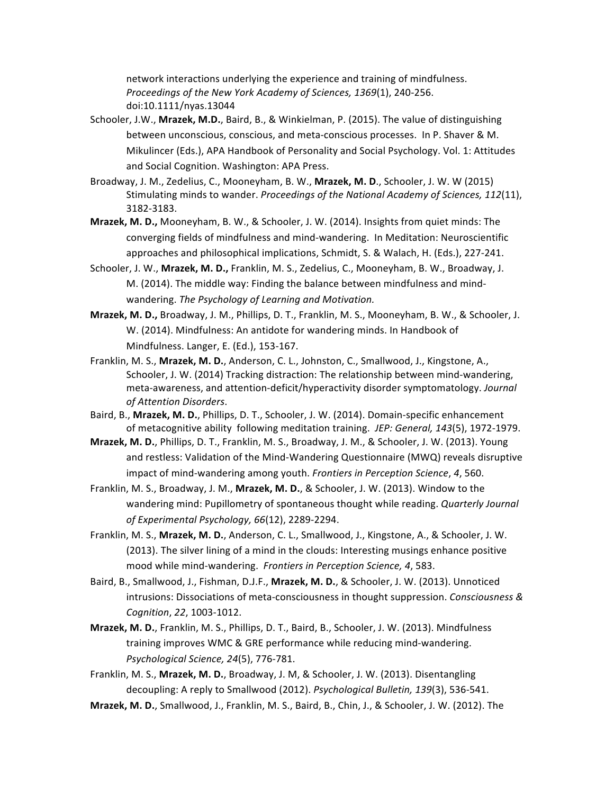network interactions underlying the experience and training of mindfulness. Proceedings of the New York Academy of Sciences, 1369(1), 240-256. doi:10.1111/nyas.13044

- Schooler, J.W., Mrazek, M.D., Baird, B., & Winkielman, P. (2015). The value of distinguishing between unconscious, conscious, and meta-conscious processes. In P. Shaver & M. Mikulincer (Eds.), APA Handbook of Personality and Social Psychology. Vol. 1: Attitudes and Social Cognition. Washington: APA Press.
- Broadway, J. M., Zedelius, C., Mooneyham, B. W., Mrazek, M. D., Schooler, J. W. W (2015) Stimulating minds to wander. *Proceedings of the National Academy of Sciences, 112(11)*, 3182-3183.
- **Mrazek, M. D.,** Mooneyham, B. W., & Schooler, J. W. (2014). Insights from quiet minds: The converging fields of mindfulness and mind-wandering. In Meditation: Neuroscientific approaches and philosophical implications, Schmidt, S. & Walach, H. (Eds.), 227-241.
- Schooler, J. W., Mrazek, M. D., Franklin, M. S., Zedelius, C., Mooneyham, B. W., Broadway, J. M. (2014). The middle way: Finding the balance between mindfulness and mindwandering. The Psychology of Learning and Motivation.
- **Mrazek, M. D., Broadway, J. M., Phillips, D. T., Franklin, M. S., Mooneyham, B. W., & Schooler, J.** W. (2014). Mindfulness: An antidote for wandering minds. In Handbook of Mindfulness. Langer, E. (Ed.), 153-167.
- Franklin, M. S., Mrazek, M. D., Anderson, C. L., Johnston, C., Smallwood, J., Kingstone, A., Schooler, J. W. (2014) Tracking distraction: The relationship between mind-wandering, meta-awareness, and attention-deficit/hyperactivity disorder symptomatology. *Journal of Attention Disorders*.
- Baird, B., Mrazek, M. D., Phillips, D. T., Schooler, J. W. (2014). Domain-specific enhancement of metacognitive ability following meditation training. *JEP: General, 143*(5), 1972-1979.
- **Mrazek, M. D.**, Phillips, D. T., Franklin, M. S., Broadway, J. M., & Schooler, J. W. (2013). Young and restless: Validation of the Mind-Wandering Questionnaire (MWQ) reveals disruptive impact of mind-wandering among youth. *Frontiers in Perception Science*, 4, 560.
- Franklin, M. S., Broadway, J. M., Mrazek, M. D., & Schooler, J. W. (2013). Window to the wandering mind: Pupillometry of spontaneous thought while reading. *Quarterly Journal of Experimental Psychology, 66*(12), 2289-2294.
- Franklin, M. S., Mrazek, M. D., Anderson, C. L., Smallwood, J., Kingstone, A., & Schooler, J. W. (2013). The silver lining of a mind in the clouds: Interesting musings enhance positive mood while mind-wandering. Frontiers in Perception Science, 4, 583.
- Baird, B., Smallwood, J., Fishman, D.J.F., Mrazek, M. D., & Schooler, J. W. (2013). Unnoticed intrusions: Dissociations of meta-consciousness in thought suppression. *Consciousness & Cognition*, *22*, 1003-1012.
- **Mrazek, M. D.**, Franklin, M. S., Phillips, D. T., Baird, B., Schooler, J. W. (2013). Mindfulness training improves WMC & GRE performance while reducing mind-wandering. *Psychological Science, 24*(5), 776-781.
- Franklin, M. S., Mrazek, M. D., Broadway, J. M. & Schooler, J. W. (2013). Disentangling decoupling: A reply to Smallwood (2012). *Psychological Bulletin, 139*(3), 536-541.
- **Mrazek, M. D.**, Smallwood, J., Franklin, M. S., Baird, B., Chin, J., & Schooler, J. W. (2012). The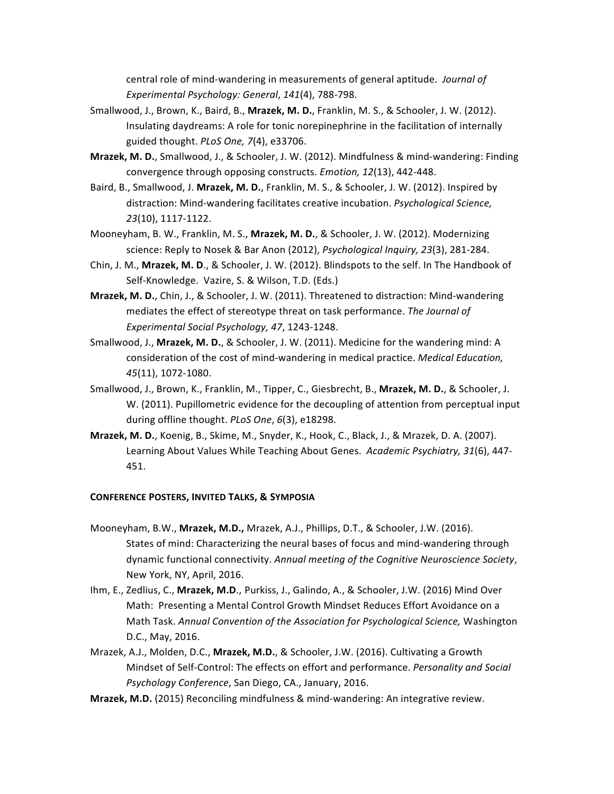central role of mind-wandering in measurements of general aptitude. *Journal of Experimental Psychology: General*, *141*(4), 788-798.

- Smallwood, J., Brown, K., Baird, B., Mrazek, M. D., Franklin, M. S., & Schooler, J. W. (2012). Insulating daydreams: A role for tonic norepinephrine in the facilitation of internally guided thought. *PLoS One*, 7(4), e33706.
- **Mrazek, M. D.**, Smallwood, J., & Schooler, J. W. (2012). Mindfulness & mind-wandering: Finding convergence through opposing constructs. *Emotion, 12*(13), 442-448.
- Baird, B., Smallwood, J. Mrazek, M. D., Franklin, M. S., & Schooler, J. W. (2012). Inspired by distraction: Mind-wandering facilitates creative incubation. *Psychological Science*, *23*(10), 1117-1122.
- Mooneyham, B. W., Franklin, M. S., **Mrazek, M. D.**, & Schooler, J. W. (2012). Modernizing science: Reply to Nosek & Bar Anon (2012), *Psychological Inquiry, 23*(3), 281-284.
- Chin, J. M., Mrazek, M. D., & Schooler, J. W. (2012). Blindspots to the self. In The Handbook of Self-Knowledge. Vazire, S. & Wilson, T.D. (Eds.)
- **Mrazek, M. D.**, Chin, J., & Schooler, J. W. (2011). Threatened to distraction: Mind-wandering mediates the effect of stereotype threat on task performance. *The Journal of Experimental Social Psychology, 47*, 1243-1248.
- Smallwood, J., Mrazek, M. D., & Schooler, J. W. (2011). Medicine for the wandering mind: A consideration of the cost of mind-wandering in medical practice. *Medical Education*, *45*(11), 1072-1080.
- Smallwood, J., Brown, K., Franklin, M., Tipper, C., Giesbrecht, B., **Mrazek, M. D.**, & Schooler, J. W. (2011). Pupillometric evidence for the decoupling of attention from perceptual input during offline thought. *PLoS One*, 6(3), e18298.
- **Mrazek, M. D.**, Koenig, B., Skime, M., Snyder, K., Hook, C., Black, J., & Mrazek, D. A. (2007). Learning About Values While Teaching About Genes. Academic Psychiatry, 31(6), 447-451.

### **CONFERENCE POSTERS, INVITED TALKS, & SYMPOSIA**

- Mooneyham, B.W., Mrazek, M.D., Mrazek, A.J., Phillips, D.T., & Schooler, J.W. (2016). States of mind: Characterizing the neural bases of focus and mind-wandering through dynamic functional connectivity. Annual meeting of the Cognitive Neuroscience Society, New York, NY, April, 2016.
- Ihm, E., Zedlius, C., Mrazek, M.D., Purkiss, J., Galindo, A., & Schooler, J.W. (2016) Mind Over Math: Presenting a Mental Control Growth Mindset Reduces Effort Avoidance on a Math Task. Annual Convention of the Association for Psychological Science, Washington D.C., May, 2016.
- Mrazek, A.J., Molden, D.C., Mrazek, M.D., & Schooler, J.W. (2016). Cultivating a Growth Mindset of Self-Control: The effects on effort and performance. *Personality and Social* Psychology Conference, San Diego, CA., January, 2016.
- **Mrazek, M.D.** (2015) Reconciling mindfulness & mind-wandering: An integrative review.